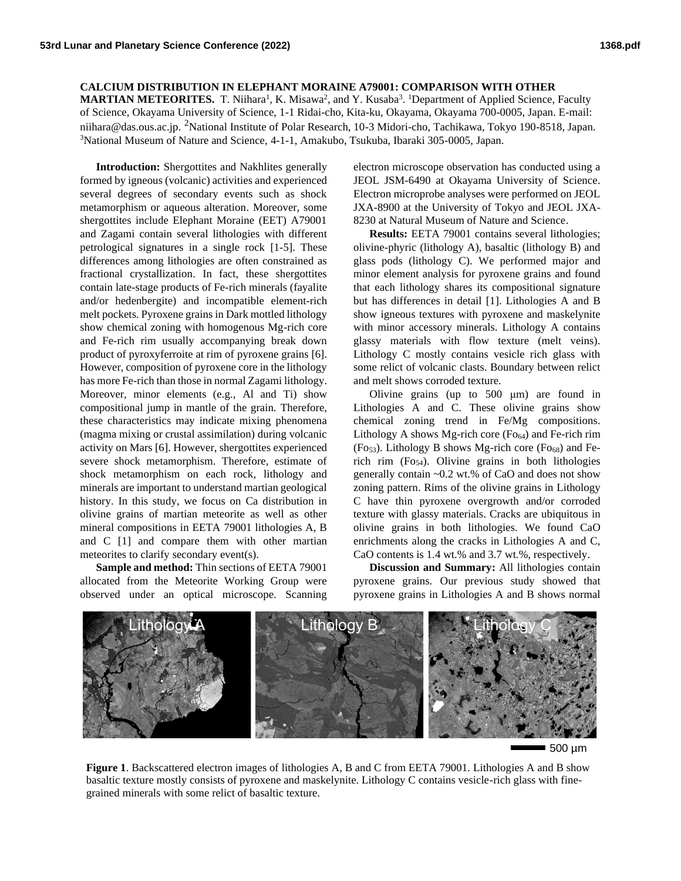## **CALCIUM DISTRIBUTION IN ELEPHANT MORAINE A79001: COMPARISON WITH OTHER**

**MARTIAN METEORITES.** T. Niihara<sup>1</sup>, K. Misawa<sup>2</sup>, and Y. Kusaba<sup>3</sup>. <sup>1</sup>Department of Applied Science, Faculty of Science, Okayama University of Science, 1-1 Ridai-cho, Kita-ku, Okayama, Okayama 700-0005, Japan. E-mail: niihara@das.ous.ac.jp. <sup>2</sup>National Institute of Polar Research, 10-3 Midori-cho, Tachikawa, Tokyo 190-8518, Japan. <sup>3</sup>National Museum of Nature and Science, 4-1-1, Amakubo, Tsukuba, Ibaraki 305-0005, Japan.

**Introduction:** Shergottites and Nakhlites generally formed by igneous (volcanic) activities and experienced several degrees of secondary events such as shock metamorphism or aqueous alteration. Moreover, some shergottites include Elephant Moraine (EET) A79001 and Zagami contain several lithologies with different petrological signatures in a single rock [1-5]. These differences among lithologies are often constrained as fractional crystallization. In fact, these shergottites contain late-stage products of Fe-rich minerals (fayalite and/or hedenbergite) and incompatible element-rich melt pockets. Pyroxene grains in Dark mottled lithology show chemical zoning with homogenous Mg-rich core and Fe-rich rim usually accompanying break down product of pyroxyferroite at rim of pyroxene grains [6]. However, composition of pyroxene core in the lithology has more Fe-rich than those in normal Zagami lithology. Moreover, minor elements (e.g., Al and Ti) show compositional jump in mantle of the grain. Therefore, these characteristics may indicate mixing phenomena (magma mixing or crustal assimilation) during volcanic activity on Mars [6]. However, shergottites experienced severe shock metamorphism. Therefore, estimate of shock metamorphism on each rock, lithology and minerals are important to understand martian geological history. In this study, we focus on Ca distribution in olivine grains of martian meteorite as well as other mineral compositions in EETA 79001 lithologies A, B and C [1] and compare them with other martian meteorites to clarify secondary event(s).

**Sample and method:** Thin sections of EETA 79001 allocated from the Meteorite Working Group were observed under an optical microscope. Scanning

electron microscope observation has conducted using a JEOL JSM-6490 at Okayama University of Science. Electron microprobe analyses were performed on JEOL JXA-8900 at the University of Tokyo and JEOL JXA-8230 at Natural Museum of Nature and Science.

**Results:** EETA 79001 contains several lithologies; olivine-phyric (lithology A), basaltic (lithology B) and glass pods (lithology C). We performed major and minor element analysis for pyroxene grains and found that each lithology shares its compositional signature but has differences in detail [1]. Lithologies A and B show igneous textures with pyroxene and maskelynite with minor accessory minerals. Lithology A contains glassy materials with flow texture (melt veins). Lithology C mostly contains vesicle rich glass with some relict of volcanic clasts. Boundary between relict and melt shows corroded texture.

Olivine grains (up to 500 μm) are found in Lithologies A and C. These olivine grains show chemical zoning trend in Fe/Mg compositions. Lithology A shows Mg-rich core  $(Fo_{64})$  and Fe-rich rim  $(F<sub>053</sub>)$ . Lithology B shows Mg-rich core  $(F<sub>068</sub>)$  and Ferich rim  $(Fo<sub>54</sub>)$ . Olivine grains in both lithologies generally contain ~0.2 wt.% of CaO and does not show zoning pattern. Rims of the olivine grains in Lithology C have thin pyroxene overgrowth and/or corroded texture with glassy materials. Cracks are ubiquitous in olivine grains in both lithologies. We found CaO enrichments along the cracks in Lithologies A and C, CaO contents is 1.4 wt.% and 3.7 wt.%, respectively.

**Discussion and Summary:** All lithologies contain pyroxene grains. Our previous study showed that pyroxene grains in Lithologies A and B shows normal



500 µm

**Figure 1**. Backscattered electron images of lithologies A, B and C from EETA 79001. Lithologies A and B show basaltic texture mostly consists of pyroxene and maskelynite. Lithology C contains vesicle-rich glass with finegrained minerals with some relict of basaltic texture.